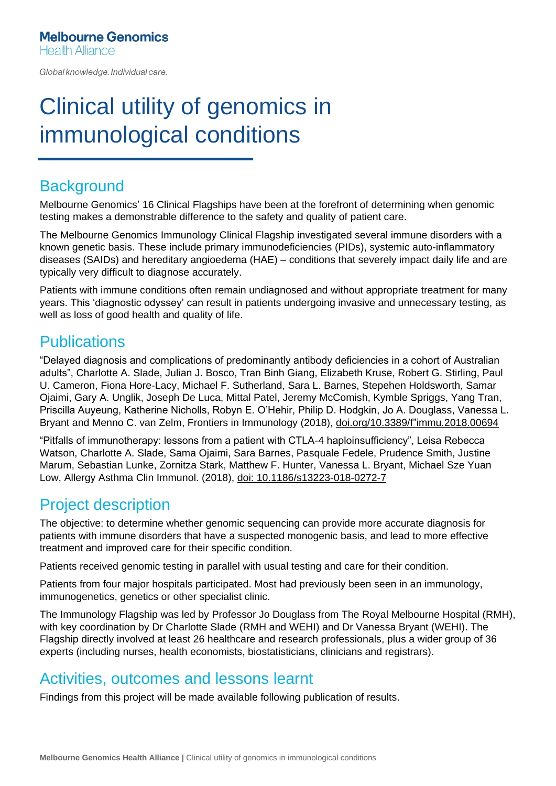Global knowledge. Individual care.

# Clinical utility of genomics in immunological conditions

### **Background**

Melbourne Genomics' 16 Clinical Flagships have been at the forefront of determining when genomic testing makes a demonstrable difference to the safety and quality of patient care.

The Melbourne Genomics Immunology Clinical Flagship investigated several immune disorders with a known genetic basis. These include primary immunodeficiencies (PIDs), systemic auto-inflammatory diseases (SAIDs) and hereditary angioedema (HAE) – conditions that severely impact daily life and are typically very difficult to diagnose accurately.

Patients with immune conditions often remain undiagnosed and without appropriate treatment for many years. This 'diagnostic odyssey' can result in patients undergoing invasive and unnecessary testing, as well as loss of good health and quality of life.

#### **Publications**

"Delayed diagnosis and complications of predominantly antibody deficiencies in a cohort of Australian adults", Charlotte A. Slade, Julian J. Bosco, Tran Binh Giang, Elizabeth Kruse, Robert G. Stirling, Paul U. Cameron, Fiona Hore-Lacy, Michael F. Sutherland, Sara L. Barnes, Stepehen Holdsworth, Samar Ojaimi, Gary A. Unglik, Joseph De Luca, Mittal Patel, Jeremy McComish, Kymble Spriggs, Yang Tran, Priscilla Auyeung, Katherine Nicholls, Robyn E. O'Hehir, Philip D. Hodgkin, Jo A. Douglass, Vanessa L. Bryant and Menno C. van Zelm, Frontiers in Immunology (2018), [doi.org/10.3389/f"immu.2018.00694](https://doi.org/10.3389/fimmu.2018.00694)

"Pitfalls of immunotherapy: lessons from a patient with CTLA-4 haploinsufficiency", Leisa Rebecca Watson, Charlotte A. Slade, Sama Ojaimi, Sara Barnes, Pasquale Fedele, Prudence Smith, Justine Marum, Sebastian Lunke, Zornitza Stark, Matthew F. Hunter, Vanessa L. Bryant, Michael Sze Yuan Low, Allergy Asthma Clin Immunol. (2018), [doi: 10.1186/s13223-018-0272-7](https://pubmed.ncbi.nlm.nih.gov/30377434/)

## Project description

The objective: to determine whether genomic sequencing can provide more accurate diagnosis for patients with immune disorders that have a suspected monogenic basis, and lead to more effective treatment and improved care for their specific condition.

Patients received genomic testing in parallel with usual testing and care for their condition.

Patients from four major hospitals participated. Most had previously been seen in an immunology, immunogenetics, genetics or other specialist clinic.

The Immunology Flagship was led by Professor Jo Douglass from The Royal Melbourne Hospital (RMH), with key coordination by Dr Charlotte Slade (RMH and WEHI) and Dr Vanessa Bryant (WEHI). The Flagship directly involved at least 26 healthcare and research professionals, plus a wider group of 36 experts (including nurses, health economists, biostatisticians, clinicians and registrars).

#### Activities, outcomes and lessons learnt

Findings from this project will be made available following publication of results.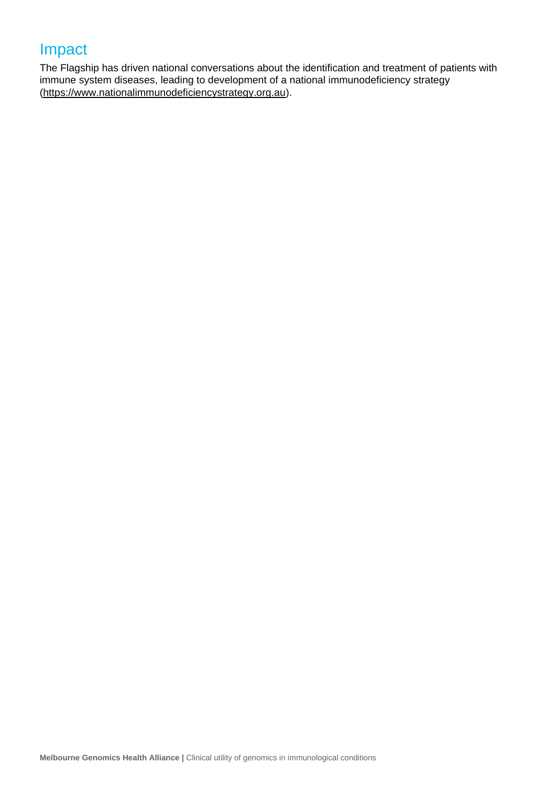## Impact

The Flagship has driven national conversations about the identification and treatment of patients with immune system diseases, leading to development of a national immunodeficiency strategy [\(https://www.nationalimmunodeficiencystrategy.org.au\)](https://www.nationalimmunodeficiencystrategy.org.au/).